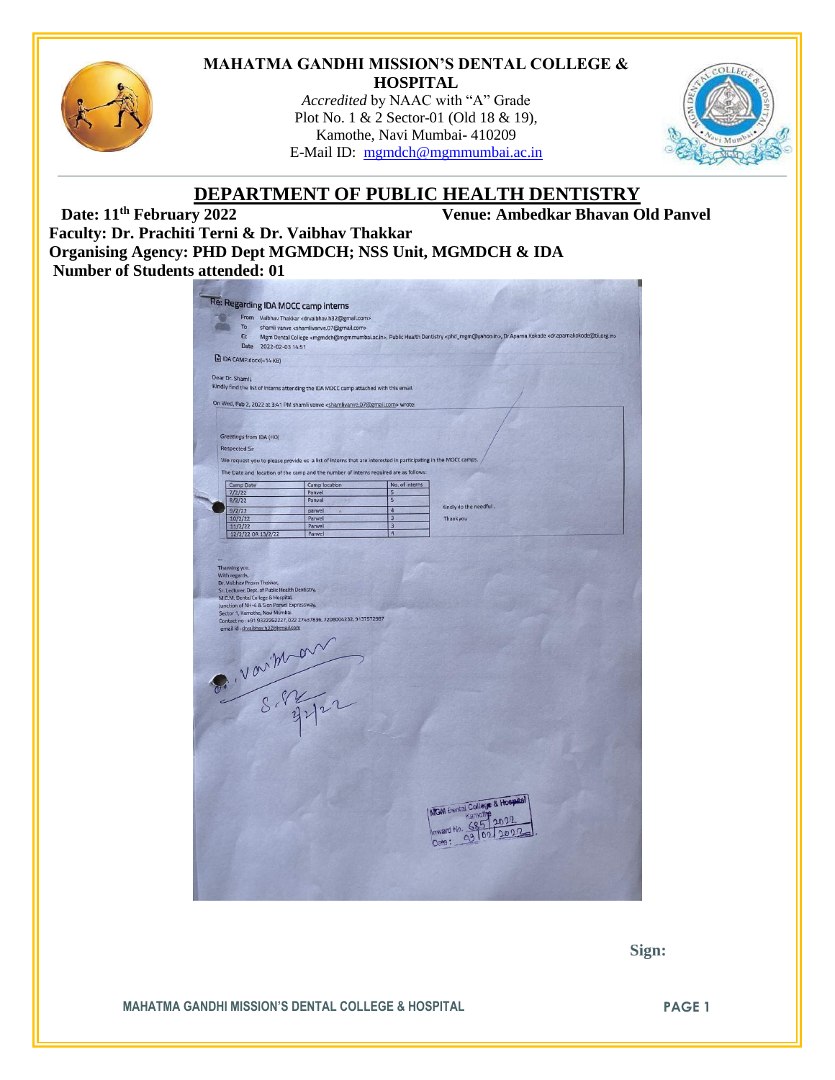

#### **MAHATMA GANDHI MISSION'S DENTAL COLLEGE & HOSPITAL**

*Accredited* by NAAC with "A" Grade Plot No. 1 & 2 Sector-01 (Old 18 & 19), Kamothe, Navi Mumbai- 410209 E-Mail ID: [mgmdch@mgmmumbai.ac.in](mailto:mgmdch@mgmmumbai.ac.in)



# **DEPARTMENT OF PUBLIC HEALTH DENTISTRY**<br>Venue: Ambedkar Bhavan O

**Venue: Ambedkar Bhavan Old Panvel** 

**Faculty: Dr. Prachiti Terni & Dr. Vaibhav Thakkar Organising Agency: PHD Dept MGMDCH; NSS Unit, MGMDCH & IDA Number of Students attended: 01**

|                                |                             |                                                                                                                                                                       | From Vaibhav Thakkar <drvaibhav.h32@gmail.com></drvaibhav.h32@gmail.com>                                      |                              |                                                                                                                                                                                                                 |
|--------------------------------|-----------------------------|-----------------------------------------------------------------------------------------------------------------------------------------------------------------------|---------------------------------------------------------------------------------------------------------------|------------------------------|-----------------------------------------------------------------------------------------------------------------------------------------------------------------------------------------------------------------|
|                                | To<br>cc                    |                                                                                                                                                                       | shamli vanve <shamlivanve.07@gmail.com></shamlivanve.07@gmail.com>                                            |                              | Mgm Dental College <mgmdch@mgmmumbai.ac.in>, Public Health Dentistry <phd_mgm@yahoo.in>, Dr.Aparna Kokode <dr.aparnakokode@tii.org.in></dr.aparnakokode@tii.org.in></phd_mgm@yahoo.in></mgmdch@mgmmumbai.ac.in> |
|                                | Date                        | 2022-02-03 14:51                                                                                                                                                      |                                                                                                               |                              |                                                                                                                                                                                                                 |
|                                |                             |                                                                                                                                                                       |                                                                                                               |                              |                                                                                                                                                                                                                 |
|                                |                             | DA CAMP.docx(-14 KB)                                                                                                                                                  |                                                                                                               |                              |                                                                                                                                                                                                                 |
| Dear Dr. Shamli,               |                             |                                                                                                                                                                       |                                                                                                               |                              |                                                                                                                                                                                                                 |
|                                |                             |                                                                                                                                                                       | Kindly find the list of interns attending the IDA MOCC camp attached with this email.                         |                              |                                                                                                                                                                                                                 |
|                                |                             |                                                                                                                                                                       | On Wed, Feb 2, 2022 at 3:41 PM shamli vanve <shamlivanve.07@gmail.com> wrote:</shamlivanve.07@gmail.com>      |                              |                                                                                                                                                                                                                 |
|                                |                             |                                                                                                                                                                       |                                                                                                               |                              |                                                                                                                                                                                                                 |
|                                |                             |                                                                                                                                                                       |                                                                                                               |                              |                                                                                                                                                                                                                 |
|                                |                             | Greetings from IDA (HO)                                                                                                                                               |                                                                                                               |                              |                                                                                                                                                                                                                 |
|                                | <b>Respected Sir</b>        |                                                                                                                                                                       |                                                                                                               |                              |                                                                                                                                                                                                                 |
|                                |                             |                                                                                                                                                                       |                                                                                                               |                              |                                                                                                                                                                                                                 |
|                                |                             |                                                                                                                                                                       | We request you to please provide us a list of interns that are interested in participating in the MOCC camps. |                              |                                                                                                                                                                                                                 |
|                                |                             |                                                                                                                                                                       | The Date and location of the camp and the number of interns required are as follows:                          |                              |                                                                                                                                                                                                                 |
|                                | Camp Date                   |                                                                                                                                                                       | Camp location                                                                                                 | No. of interns               |                                                                                                                                                                                                                 |
|                                | 7/2/22                      |                                                                                                                                                                       | Panvel<br>Panvel                                                                                              | 5<br>$\overline{\mathbf{5}}$ |                                                                                                                                                                                                                 |
|                                | 8/2/22<br>9/2/22            |                                                                                                                                                                       | panvel                                                                                                        | $\overline{4}$               | Kindly do the needful.                                                                                                                                                                                          |
|                                | 10/2/22                     |                                                                                                                                                                       | Panvel                                                                                                        | $\overline{3}$               | Thank you                                                                                                                                                                                                       |
|                                | 11/2/22                     |                                                                                                                                                                       | Panvel                                                                                                        | $\overline{3}$               |                                                                                                                                                                                                                 |
|                                |                             | 12/2/22 OR 13/2/22                                                                                                                                                    | Panvel                                                                                                        | 4                            |                                                                                                                                                                                                                 |
|                                | Dr. Vaibhav Pravin Thakkar, | Sr. Lecturer, Dept. of Public Health Dentistry,<br>M.G.M. Dental College & Hospital,<br>Junction of NH-4 & Sion Panvel Expressway,<br>Sector 1, Kamothe, Navi Mumbai. |                                                                                                               |                              |                                                                                                                                                                                                                 |
|                                |                             | email id : dryaibhav.h32@gmail.com                                                                                                                                    | Contact no: +91 9322262227, 022 27437836, 7208004232, 9137572987                                              |                              |                                                                                                                                                                                                                 |
|                                |                             |                                                                                                                                                                       |                                                                                                               |                              |                                                                                                                                                                                                                 |
|                                |                             |                                                                                                                                                                       |                                                                                                               |                              |                                                                                                                                                                                                                 |
| Thanking you.<br>With regards, |                             |                                                                                                                                                                       |                                                                                                               |                              |                                                                                                                                                                                                                 |
|                                |                             |                                                                                                                                                                       |                                                                                                               |                              |                                                                                                                                                                                                                 |
|                                |                             |                                                                                                                                                                       |                                                                                                               |                              |                                                                                                                                                                                                                 |
|                                |                             |                                                                                                                                                                       |                                                                                                               |                              |                                                                                                                                                                                                                 |
|                                |                             |                                                                                                                                                                       |                                                                                                               |                              |                                                                                                                                                                                                                 |
|                                |                             |                                                                                                                                                                       |                                                                                                               |                              |                                                                                                                                                                                                                 |
|                                |                             |                                                                                                                                                                       |                                                                                                               |                              |                                                                                                                                                                                                                 |
|                                |                             |                                                                                                                                                                       |                                                                                                               |                              |                                                                                                                                                                                                                 |
|                                |                             |                                                                                                                                                                       | S. Varithan                                                                                                   |                              |                                                                                                                                                                                                                 |
|                                |                             |                                                                                                                                                                       |                                                                                                               |                              |                                                                                                                                                                                                                 |
|                                |                             |                                                                                                                                                                       |                                                                                                               |                              |                                                                                                                                                                                                                 |
|                                |                             |                                                                                                                                                                       |                                                                                                               |                              |                                                                                                                                                                                                                 |
|                                |                             |                                                                                                                                                                       |                                                                                                               |                              |                                                                                                                                                                                                                 |
|                                |                             |                                                                                                                                                                       |                                                                                                               |                              |                                                                                                                                                                                                                 |
|                                |                             |                                                                                                                                                                       |                                                                                                               |                              | MGM Dental College & Hospital<br>Kamothe                                                                                                                                                                        |
|                                |                             |                                                                                                                                                                       |                                                                                                               |                              |                                                                                                                                                                                                                 |
|                                |                             |                                                                                                                                                                       |                                                                                                               |                              | Inward No. 685<br>Date:                                                                                                                                                                                         |

 **Sign:**

**MAHATMA GANDHI MISSION'S DENTAL COLLEGE & HOSPITAL PAGE 1**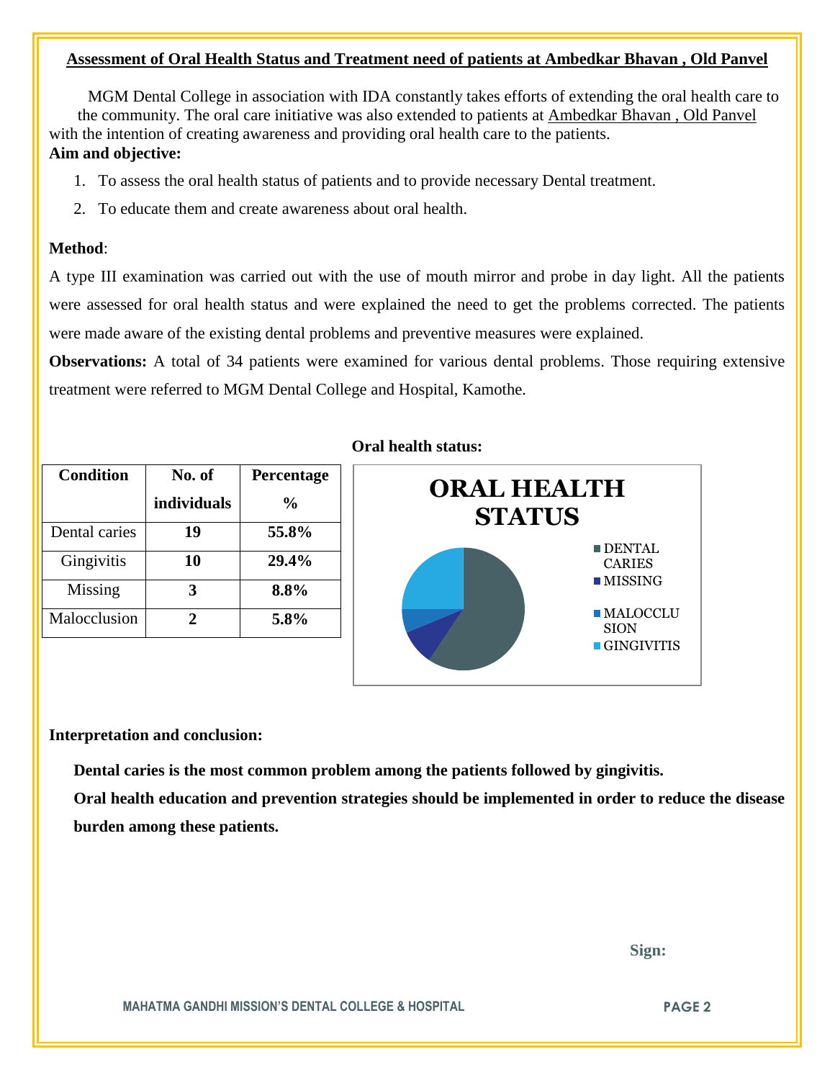#### **Assessment of Oral Health Status and Treatment need of patients at Ambedkar Bhavan , Old Panvel**

 MGM Dental College in association with IDA constantly takes efforts of extending the oral health care to the community. The oral care initiative was also extended to patients at Ambedkar Bhavan , Old Panvel with the intention of creating awareness and providing oral health care to the patients. **Aim and objective:** 

- 1. To assess the oral health status of patients and to provide necessary Dental treatment.
- 2. To educate them and create awareness about oral health.

### **Method**:

A type III examination was carried out with the use of mouth mirror and probe in day light. All the patients were assessed for oral health status and were explained the need to get the problems corrected. The patients were made aware of the existing dental problems and preventive measures were explained.

**Observations:** A total of 34 patients were examined for various dental problems. Those requiring extensive treatment were referred to MGM Dental College and Hospital, Kamothe.

| <b>Condition</b> | No. of      | Percentage    |  |
|------------------|-------------|---------------|--|
|                  | individuals | $\frac{6}{9}$ |  |
| Dental caries    | 19          | 55.8%         |  |
| Gingivitis       | 10          | 29.4%         |  |
| Missing          |             | 8.8%          |  |
| Malocclusion     | Ζ.          | 5.8%          |  |

## **Oral health status:**



#### **Interpretation and conclusion:**

 **Dental caries is the most common problem among the patients followed by gingivitis.**

**Oral health education and prevention strategies should be implemented in order to reduce the disease burden among these patients.**

 **Sign:**

**MAHATMA GANDHI MISSION'S DENTAL COLLEGE & HOSPITAL PAGE 2**